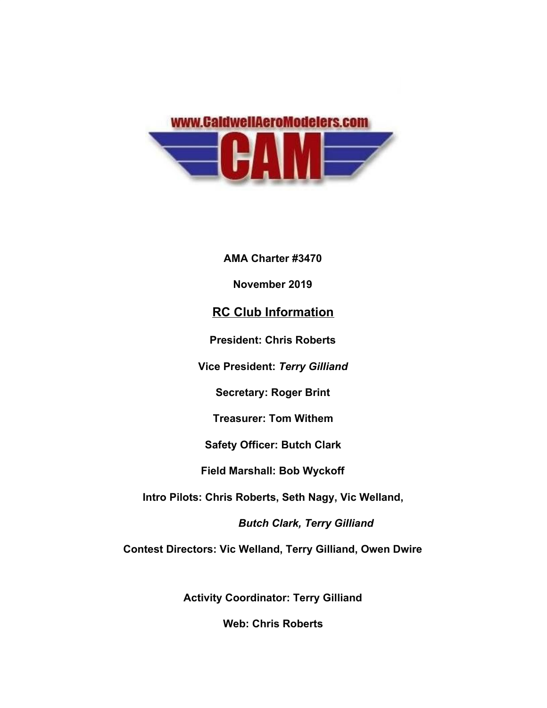

**AMA Charter #3470**

**November 2019**

## **RC Club Information**

**President: Chris Roberts**

**Vice President:** *Terry Gilliand*

**Secretary: Roger Brint**

**Treasurer: Tom Withem**

**Safety Officer: Butch Clark**

**Field Marshall: Bob Wyckoff**

**Intro Pilots: Chris Roberts, Seth Nagy, Vic Welland,**

 *Butch Clark, Terry Gilliand*

**Contest Directors: Vic Welland, Terry Gilliand, Owen Dwire**

**Activity Coordinator: Terry Gilliand**

**Web: Chris Roberts**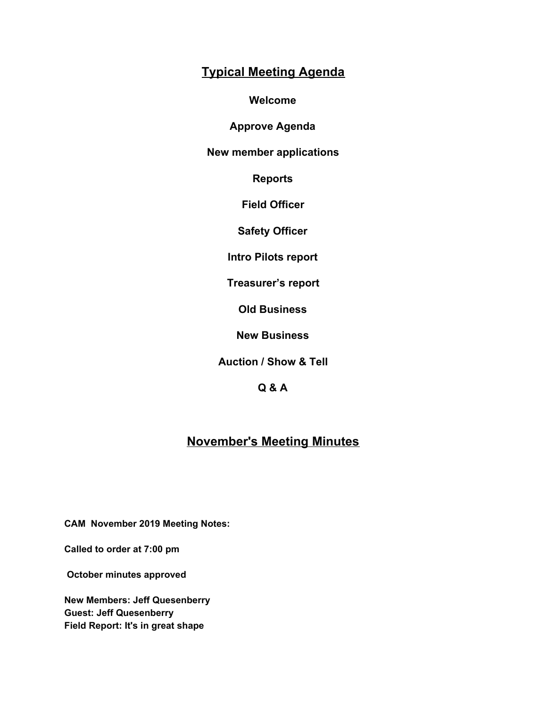# **Typical Meeting Agenda**

**Welcome**

**Approve Agenda**

**New member applications**

**Reports**

**Field Officer**

**Safety Officer**

**Intro Pilots report**

**Treasurer's report**

**Old Business**

**New Business**

**Auction / Show & Tell**

**Q & A**

# **November's Meeting Minutes**

**CAM November 2019 Meeting Notes:**

**Called to order at 7:00 pm**

 **October minutes approved**

**New Members: Jeff Quesenberry Guest: Jeff Quesenberry Field Report: It's in great shape**